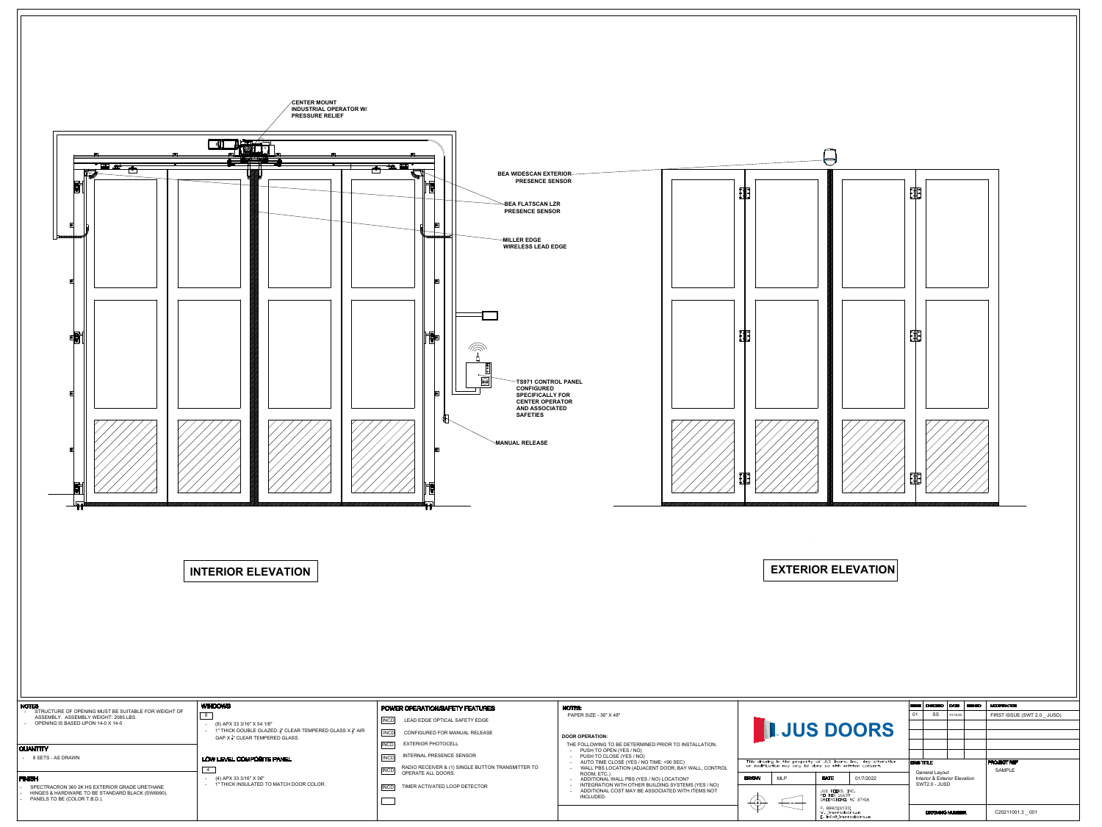

|                                                   | <b>POWER OPERATION/SAFETY FEATURES</b>                                                 |             |  |  |  |
|---------------------------------------------------|----------------------------------------------------------------------------------------|-------------|--|--|--|
|                                                   | <b>INCD</b><br>LEAD EDGE OPTICAL SAFETY EDGE                                           | PAI         |  |  |  |
| LEAR TEMPERED GLASS X $\frac{1}{2}$ " AIR<br>ASS. | CONFIGURED FOR MANUAL RELEASE<br><b>INCD</b>                                           | <b>DOOF</b> |  |  |  |
|                                                   | <b>EXTERIOR PHOTOCELL</b><br> INCD                                                     | THE         |  |  |  |
| $\mathsf{L}$                                      | <b>INTERNAL PRESENCE SENSOR</b><br><b>INCD</b>                                         |             |  |  |  |
|                                                   | RADIO RECEIVER & (1) SINGLE BUTTON TRANSMITTER TO<br><b>INCD</b><br>OPERATE ALL DOORS. |             |  |  |  |
| I DOOR COLOR.                                     | TIMER ACTIVATED LOOP DETECTOR<br>$  \mathsf{INCD}  $                                   |             |  |  |  |
|                                                   |                                                                                        |             |  |  |  |
|                                                   |                                                                                        |             |  |  |  |

|                            | <b>ISSUE</b>          | <b>CHECKED</b>                            | <b>DATE</b> | <b>SIGNED</b> | <b>MODIFICATION</b>          |
|----------------------------|-----------------------|-------------------------------------------|-------------|---------------|------------------------------|
|                            | 01                    | <b>SS</b>                                 | 01/10/22    |               | FIRST ISSUE (SWT 2.0 _ JUSD) |
|                            |                       |                                           |             |               |                              |
| <b>DRS</b>                 |                       |                                           |             |               |                              |
|                            |                       |                                           |             |               |                              |
|                            |                       |                                           |             |               |                              |
| Any alteration<br>consent. |                       | <b>DRG TITLE</b><br><b>General Layout</b> |             |               | <b>PROJECT REF</b>           |
|                            |                       |                                           |             |               | <b>SAMPLE</b>                |
| /7/2022                    |                       | <b>Interior &amp; Exterior Elevation</b>  |             |               |                              |
|                            |                       | SWT2.0 - JUSD                             |             |               |                              |
| 7416                       |                       |                                           |             |               |                              |
|                            |                       |                                           |             |               |                              |
| 211.7                      | <b>DRAWING NUMBER</b> |                                           |             |               | C20211001.3 001              |